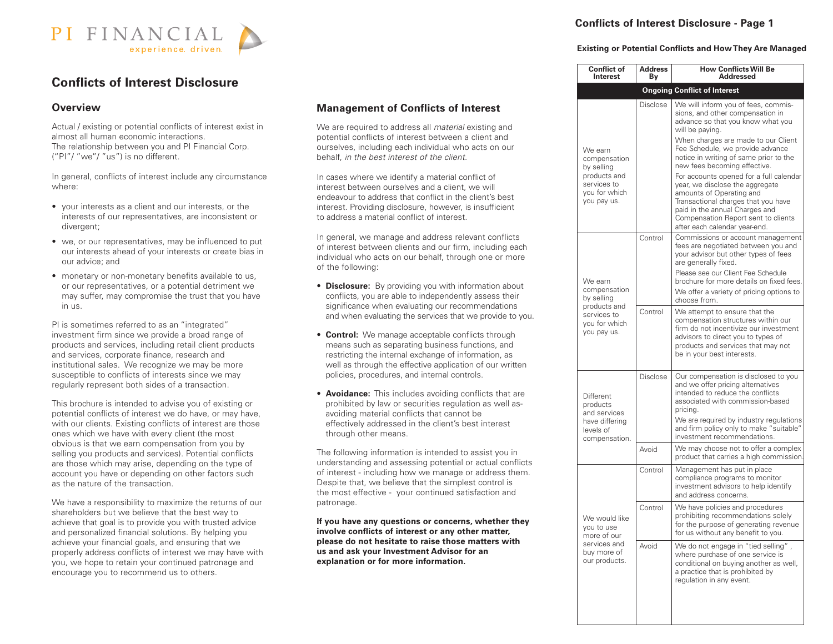

# **Conflicts of Interest Disclosure**

#### **Overview**

Actual / existing or potential conflicts of interest exist in almost all human economic interactions. The relationship between you and PI Financial Corp. ("PI"/ "we"/ "us") is no different.

In general, conflicts of interest include any circumstance where:

- your interests as a client and our interests, or the interests of our representatives, are inconsistent or divergent;
- we, or our representatives, may be influenced to put our interests ahead of your interests or create bias in our advice; and
- may suffer, may compromise the trust that you have • monetary or non-monetary benefits available to us, or our representatives, or a potential detriment we in us.

PI is sometimes referred to as an "integrated" investment firm since we provide a broad range of products and services, including retail client products and services, corporate finance, research and institutional sales. We recognize we may be more susceptible to conflicts of interests since we may regularly represent both sides of a transaction.

This brochure is intended to advise you of existing or potential conflicts of interest we do have, or may have, with our clients. Existing conflicts of interest are those ones which we have with every client (the most obvious is that we earn compensation from you by selling you products and services). Potential conflicts are those which may arise, depending on the type of account you have or depending on other factors such as the nature of the transaction.

We have a responsibility to maximize the returns of our shareholders but we believe that the best way to achieve that goal is to provide you with trusted advice and personalized financial solutions. By helping you achieve your financial goals, and ensuring that we properly address conflicts of interest we may have with you, we hope to retain your continued patronage and encourage you to recommend us to others.

### **Management of Conflicts of Interest**

 We are required to address all *material* existing and potential conflicts of interest between a client and ourselves, including each individual who acts on our behalf, *in the best interest of the client*.

 In cases where we identify a material conflict of interest between ourselves and a client, we will endeavour to address that conflict in the client's best interest. Providing disclosure, however, is insufficient to address a material conflict of interest.

 In general, we manage and address relevant conflicts of interest between clients and our firm, including each individual who acts on our behalf, through one or more of the following:

- **Disclosure:** By providing you with information about conflicts, you are able to independently assess their significance when evaluating our recommendations and when evaluating the services that we provide to you.
- well as through the effective application of our written • **Control:** We manage acceptable conflicts through means such as separating business functions, and restricting the internal exchange of information, as policies, procedures, and internal controls.
	- **Avoidance:** This includes avoiding conflicts that are prohibited by law or securities regulation as well as avoiding material conflicts that cannot be effectively addressed in the client's best interest through other means.

of interest - including how we manage or address them. The following information is intended to assist you in understanding and assessing potential or actual conflicts Despite that, we believe that the simplest control is the most effective - your continued satisfaction and patronage.

 **If you have any questions or concerns, whether they involve conflicts of interest or any other matter, please do not hesitate to raise those matters with us and ask your Investment Advisor for an explanation or for more information.**

## **Conflicts of Interest Disclosure - Page 1**

#### **Existing or Potential Conflicts and HowThey Are Managed**

| <b>Address</b><br>Bγ | <b>How Conflicts Will Be</b><br><b>Addressed</b>                                                                                                                                                                                                                                                                                |
|----------------------|---------------------------------------------------------------------------------------------------------------------------------------------------------------------------------------------------------------------------------------------------------------------------------------------------------------------------------|
|                      | <b>Ongoing Conflict of Interest</b>                                                                                                                                                                                                                                                                                             |
| Disclose             | We will inform you of fees, commis-<br>sions, and other compensation in<br>advance so that you know what you<br>will be paying.<br>When charges are made to our Client<br>Fee Schedule, we provide advance<br>notice in writing of same prior to the<br>new fees becoming effective.<br>For accounts opened for a full calendar |
|                      | year, we disclose the aggregate<br>amounts of Operating and<br>Transactional charges that you have<br>paid in the annual Charges and<br>Compensation Report sent to clients<br>after each calendar year-end.                                                                                                                    |
| Control              | Commissions or account management<br>fees are negotiated between you and<br>your advisor but other types of fees<br>are generally fixed.                                                                                                                                                                                        |
|                      | Please see our Client Fee Schedule<br>brochure for more details on fixed fees.                                                                                                                                                                                                                                                  |
|                      | We offer a variety of pricing options to<br>choose from.                                                                                                                                                                                                                                                                        |
|                      | We attempt to ensure that the<br>compensation structures within our<br>firm do not incentivize our investment<br>advisors to direct you to types of<br>products and services that may not<br>be in your best interests.                                                                                                         |
| Disclose             | Our compensation is disclosed to you<br>and we offer pricing alternatives<br>intended to reduce the conflicts<br>associated with commission-based<br>pricing.<br>We are required by industry regulations<br>and firm policy only to make "suitable"<br>investment recommendations.                                              |
| Avoid                | We may choose not to offer a complex<br>product that carries a high commission.                                                                                                                                                                                                                                                 |
| Control              | Management has put in place<br>compliance programs to monitor<br>investment advisors to help identify<br>and address concerns.                                                                                                                                                                                                  |
| Control              | We have policies and procedures<br>prohibiting recommendations solely<br>for the purpose of generating revenue<br>for us without any benefit to you.                                                                                                                                                                            |
| Avoid                | We do not engage in "tied selling",<br>where purchase of one service is<br>conditional on buying another as well,<br>a practice that is prohibited by<br>regulation in any event.                                                                                                                                               |
|                      | Control                                                                                                                                                                                                                                                                                                                         |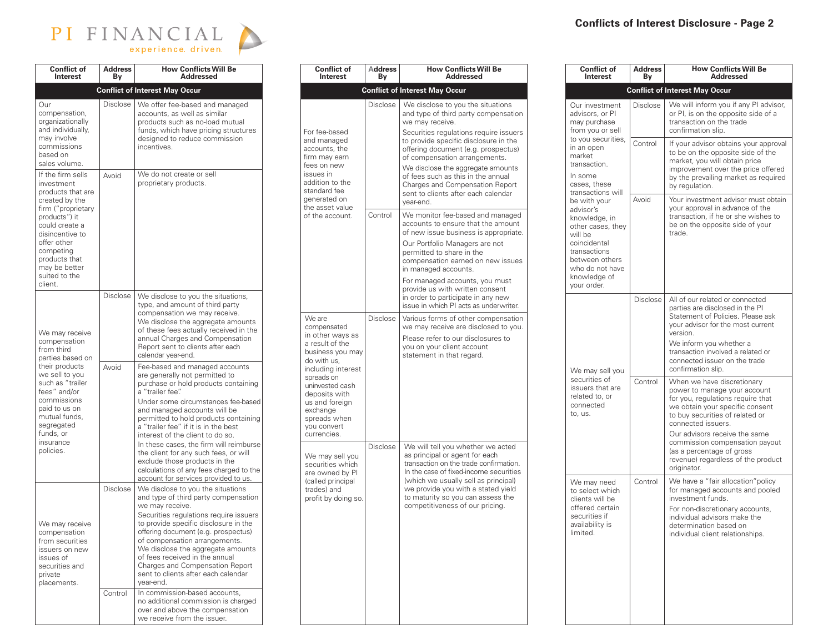

| <b>Conflict of</b><br>Interest                                                                                                                                                                                                               | <b>Address</b><br>Βv | <b>How Conflicts Will Be</b><br><b>Addressed</b>                                                                                                                                                                                                                                                                                                                                                                                                                                                                                                                |
|----------------------------------------------------------------------------------------------------------------------------------------------------------------------------------------------------------------------------------------------|----------------------|-----------------------------------------------------------------------------------------------------------------------------------------------------------------------------------------------------------------------------------------------------------------------------------------------------------------------------------------------------------------------------------------------------------------------------------------------------------------------------------------------------------------------------------------------------------------|
|                                                                                                                                                                                                                                              |                      | <b>Conflict of Interest May Occur</b>                                                                                                                                                                                                                                                                                                                                                                                                                                                                                                                           |
| Our<br>compensation,<br>organizationally<br>and individually,<br>may involve<br>commissions<br>based on<br>sales volume.                                                                                                                     | <b>Disclose</b>      | We offer fee-based and managed<br>accounts, as well as similar<br>products such as no-load mutual<br>funds, which have pricing structures<br>designed to reduce commission<br>incentives.                                                                                                                                                                                                                                                                                                                                                                       |
| If the firm sells<br>investment<br>products that are<br>created by the<br>firm ("proprietary<br>products") it<br>could create a<br>disincentive to<br>offer other<br>competing<br>products that<br>may be better<br>suited to the<br>client. | Avoid                | We do not create or sell<br>proprietary products.                                                                                                                                                                                                                                                                                                                                                                                                                                                                                                               |
| We may receive<br>compensation<br>from third<br>parties based on                                                                                                                                                                             | Disclose             | We disclose to you the situations,<br>type, and amount of third party<br>compensation we may receive.<br>We disclose the aggregate amounts<br>of these fees actually received in the<br>annual Charges and Compensation<br>Report sent to clients after each<br>calendar year-end.                                                                                                                                                                                                                                                                              |
| their products<br>we sell to you<br>such as "trailer<br>fees" and/or<br>commissions<br>paid to us on<br>mutual funds,<br>segregated<br>funds, or<br>insurance<br>policies.                                                                   | Avoid                | Fee-based and managed accounts<br>are generally not permitted to<br>purchase or hold products containing<br>a "trailer fee".<br>Under some circumstances fee-based<br>and managed accounts will be<br>permitted to hold products containing<br>a "trailer fee" if it is in the best<br>interest of the client to do so.<br>In these cases, the firm will reimburse<br>the client for any such fees, or will<br>exclude those products in the<br>calculations of any fees charged to the<br>account for services provided to us.                                 |
| We may receive<br>compensation<br>from securities<br>issuers on new<br>issues of<br>securities and<br>private<br>placements.                                                                                                                 | Disclose<br>Control  | We disclose to you the situations<br>and type of third party compensation<br>we may receive.<br>Securities regulations require issuers<br>to provide specific disclosure in the<br>offering document (e.g. prospectus)<br>of compensation arrangements.<br>We disclose the aggregate amounts<br>of fees received in the annual<br>Charges and Compensation Report<br>sent to clients after each calendar<br>year-end.<br>In commission-based accounts,<br>no additional commission is charged<br>over and above the compensation<br>we receive from the issuer. |

| <b>Conflict of</b><br>Interest                                                                                                                                                                                                                      | <b>Address</b><br>Bν | <b>How Conflicts Will Be</b><br><b>Addressed</b>                                                                                                                                                                                                                                                              |
|-----------------------------------------------------------------------------------------------------------------------------------------------------------------------------------------------------------------------------------------------------|----------------------|---------------------------------------------------------------------------------------------------------------------------------------------------------------------------------------------------------------------------------------------------------------------------------------------------------------|
|                                                                                                                                                                                                                                                     |                      | <b>Conflict of Interest May Occur</b>                                                                                                                                                                                                                                                                         |
|                                                                                                                                                                                                                                                     | Disclose             | We disclose to you the situations<br>and type of third party compensation<br>we may receive.                                                                                                                                                                                                                  |
| For fee-based<br>and managed<br>accounts, the<br>firm may earn                                                                                                                                                                                      |                      | Securities regulations require issuers<br>to provide specific disclosure in the<br>offering document (e.g. prospectus)<br>of compensation arrangements.                                                                                                                                                       |
| fees on new<br>issues in<br>addition to the<br>standard fee<br>generated on<br>the asset value                                                                                                                                                      |                      | We disclose the aggregate amounts<br>of fees such as this in the annual<br>Charges and Compensation Report<br>sent to clients after each calendar<br>vear-end.                                                                                                                                                |
| of the account.                                                                                                                                                                                                                                     | Control              | We monitor fee-based and managed<br>accounts to ensure that the amount<br>of new issue business is appropriate.                                                                                                                                                                                               |
|                                                                                                                                                                                                                                                     |                      | Our Portfolio Managers are not<br>permitted to share in the<br>compensation earned on new issues<br>in managed accounts.                                                                                                                                                                                      |
|                                                                                                                                                                                                                                                     |                      | For managed accounts, you must<br>provide us with written consent<br>in order to participate in any new<br>issue in which PI acts as underwriter.                                                                                                                                                             |
| We are<br>compensated<br>in other ways as<br>a result of the<br>business you may<br>do with us,<br>including interest<br>spreads on<br>uninvested cash<br>deposits with<br>us and foreign<br>exchange<br>spreads when<br>you convert<br>currencies. | Disclose             | Various forms of other compensation<br>we may receive are disclosed to you.<br>Please refer to our disclosures to<br>you on your client account<br>statement in that regard.                                                                                                                                  |
| We may sell you<br>securities which<br>are owned by PI<br>(called principal<br>trades) and<br>profit by doing so.                                                                                                                                   | Disclose             | We will tell you whether we acted<br>as principal or agent for each<br>transaction on the trade confirmation.<br>In the case of fixed-income securities<br>(which we usually sell as principal)<br>we provide you with a stated yield<br>to maturity so you can assess the<br>competitiveness of our pricing. |
|                                                                                                                                                                                                                                                     |                      |                                                                                                                                                                                                                                                                                                               |

L

| <b>Conflict of</b><br>Interest                                                                                                                                                 | <b>Address</b><br>Βy | <b>How Conflicts Will Be</b><br>Addressed                                                                                                                                                                                                                                                                                                        |  |  |
|--------------------------------------------------------------------------------------------------------------------------------------------------------------------------------|----------------------|--------------------------------------------------------------------------------------------------------------------------------------------------------------------------------------------------------------------------------------------------------------------------------------------------------------------------------------------------|--|--|
|                                                                                                                                                                                |                      | <b>Conflict of Interest May Occur</b>                                                                                                                                                                                                                                                                                                            |  |  |
| Our investment<br>advisors, or Pl<br>may purchase<br>from you or sell                                                                                                          | <b>Disclose</b>      | We will inform you if any PI advisor,<br>or PI, is on the opposite side of a<br>transaction on the trade<br>confirmation slip.                                                                                                                                                                                                                   |  |  |
| to you securities,<br>in an open<br>market<br>transaction.<br>In some<br>cases, these<br>transactions will                                                                     | Control              | If your advisor obtains your approval<br>to be on the opposite side of the<br>market, you will obtain price<br>improvement over the price offered<br>by the prevailing market as required<br>by regulation.                                                                                                                                      |  |  |
| be with your<br>advisor's<br>knowledge, in<br>other cases, they<br>will be<br>coincidental<br>transactions<br>between others<br>who do not have<br>knowledge of<br>your order. | Avoid                | Your investment advisor must obtain<br>your approval in advance of the<br>transaction, if he or she wishes to<br>be on the opposite side of your<br>trade.                                                                                                                                                                                       |  |  |
| We may sell you                                                                                                                                                                | Disclose             | All of our related or connected<br>parties are disclosed in the PI<br>Statement of Policies. Please ask<br>your advisor for the most current<br>version.<br>We inform you whether a<br>transaction involved a related or<br>connected issuer on the trade<br>confirmation slip.                                                                  |  |  |
| securities of<br>issuers that are<br>related to, or<br>connected<br>to, us.                                                                                                    | Control              | When we have discretionary<br>power to manage your account<br>for you, regulations require that<br>we obtain your specific consent<br>to buy securities of related or<br>connected issuers.<br>Our advisors receive the same<br>commission compensation payout<br>(as a percentage of gross<br>revenue) regardless of the product<br>originator. |  |  |
| We may need<br>to select which<br>clients will be<br>offered certain<br>securities if<br>availability is<br>limited.                                                           | Control              | We have a "fair allocation" policy<br>for managed accounts and pooled<br>investment funds.<br>For non-discretionary accounts,<br>individual advisors make the<br>determination based on<br>individual client relationships.                                                                                                                      |  |  |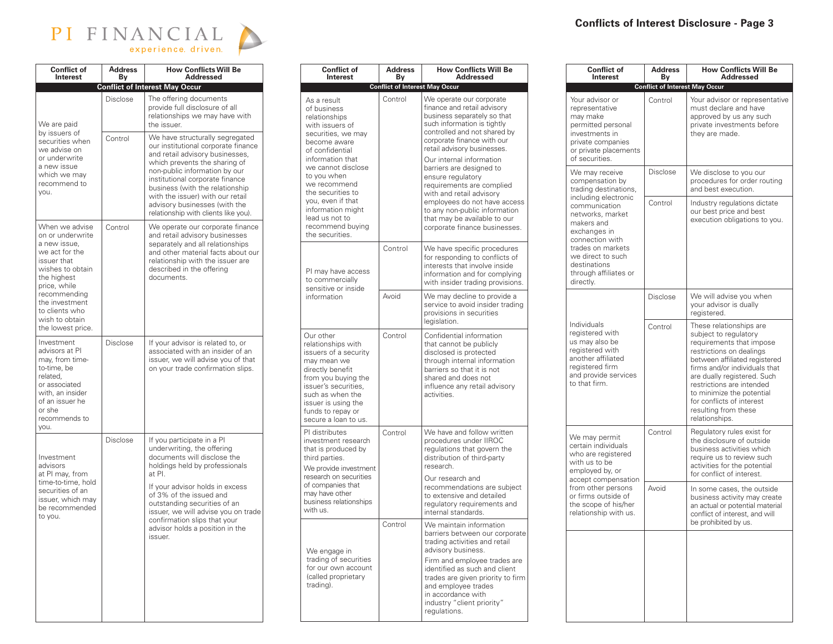| PI FINANCIAL |  |  |                     |  |  |  |
|--------------|--|--|---------------------|--|--|--|
|              |  |  | experience, driven. |  |  |  |

 $\blacksquare$ 

| <b>Conflict of</b><br><b>Interest</b>                                                                                                                                                                                             | <b>Address</b><br>Βv | <b>How Conflicts Will Be</b><br><b>Addressed</b>                                                                                                                                                                                                                                                                                                               |
|-----------------------------------------------------------------------------------------------------------------------------------------------------------------------------------------------------------------------------------|----------------------|----------------------------------------------------------------------------------------------------------------------------------------------------------------------------------------------------------------------------------------------------------------------------------------------------------------------------------------------------------------|
|                                                                                                                                                                                                                                   |                      | <b>Conflict of Interest May Occur</b>                                                                                                                                                                                                                                                                                                                          |
| We are paid                                                                                                                                                                                                                       | Disclose             | The offering documents<br>provide full disclosure of all<br>relationships we may have with<br>the issuer.                                                                                                                                                                                                                                                      |
| by issuers of<br>securities when<br>we advise on<br>or underwrite<br>a new issue<br>which we may<br>recommend to<br>you.                                                                                                          | Control              | We have structurally segregated<br>our institutional corporate finance<br>and retail advisory businesses,<br>which prevents the sharing of<br>non-public information by our<br>institutional corporate finance<br>business (with the relationship<br>with the issuer) with our retail<br>advisory businesses (with the<br>relationship with clients like you). |
| When we advise<br>on or underwrite<br>a new issue,<br>we act for the<br>issuer that<br>wishes to obtain<br>the highest<br>price, while<br>recommending<br>the investment<br>to clients who<br>wish to obtain<br>the lowest price. | Control              | We operate our corporate finance<br>and retail advisory businesses<br>separately and all relationships<br>and other material facts about our<br>relationship with the issuer are<br>described in the offering<br>documents.                                                                                                                                    |
| Investment<br>advisors at PI<br>may, from time-<br>to-time, be<br>related,<br>or associated<br>with, an insider<br>of an issuer he<br>or she<br>recommends to<br>you.                                                             | <b>Disclose</b>      | If your advisor is related to, or<br>associated with an insider of an<br>issuer, we will advise you of that<br>on your trade confirmation slips.                                                                                                                                                                                                               |
| Investment<br>advisors<br>at PI may, from<br>time-to-time, hold<br>securities of an<br>issuer, which may<br>be recommended<br>to you.                                                                                             | Disclose             | If you participate in a PI<br>underwriting, the offering<br>documents will disclose the<br>holdings held by professionals<br>at PI.<br>If your advisor holds in excess<br>of 3% of the issued and<br>outstanding securities of an<br>issuer, we will advise you on trade<br>confirmation slips that your<br>advisor holds a position in the<br>issuer.         |

| <b>Conflict of</b><br>Interest |                                                                                                                                                                                                                                                                                                                          | <b>Address</b><br>By                  | <b>How Conflicts Will Be</b><br><b>Addressed</b>                                                                                                                                                                                                                                                                                                                                                                                                                                           |
|--------------------------------|--------------------------------------------------------------------------------------------------------------------------------------------------------------------------------------------------------------------------------------------------------------------------------------------------------------------------|---------------------------------------|--------------------------------------------------------------------------------------------------------------------------------------------------------------------------------------------------------------------------------------------------------------------------------------------------------------------------------------------------------------------------------------------------------------------------------------------------------------------------------------------|
|                                |                                                                                                                                                                                                                                                                                                                          | <b>Conflict of Interest May Occur</b> |                                                                                                                                                                                                                                                                                                                                                                                                                                                                                            |
|                                | As a result<br>of business<br>relationships<br>with issuers of<br>securities, we may<br>become aware<br>of confidential<br>information that<br>we cannot disclose<br>to you when<br>we recommend<br>the securities to<br>you, even if that<br>information might<br>lead us not to<br>recommend buying<br>the securities. | Control                               | We operate our corporate<br>finance and retail advisory<br>business separately so that<br>such information is tightly<br>controlled and not shared by<br>corporate finance with our<br>retail advisory businesses.<br>Our internal information<br>barriers are designed to<br>ensure regulatory<br>requirements are complied<br>with and retail advisory<br>employees do not have access<br>to any non-public information<br>that may be available to our<br>corporate finance businesses. |
|                                | PI may have access<br>to commercially<br>sensitive or inside                                                                                                                                                                                                                                                             | Control                               | We have specific procedures<br>for responding to conflicts of<br>interests that involve inside<br>information and for complying<br>with insider trading provisions.                                                                                                                                                                                                                                                                                                                        |
|                                | information                                                                                                                                                                                                                                                                                                              | Avoid                                 | We may decline to provide a<br>service to avoid insider trading<br>provisions in securities<br>legislation.                                                                                                                                                                                                                                                                                                                                                                                |
|                                | Our other<br>relationships with<br>issuers of a security<br>may mean we<br>directly benefit<br>from you buying the<br>issuer's securities.<br>such as when the<br>issuer is using the<br>funds to repay or<br>secure a loan to us.                                                                                       | Control                               | Confidential information<br>that cannot be publicly<br>disclosed is protected<br>through internal information<br>barriers so that it is not<br>shared and does not<br>influence any retail advisory<br>activities.                                                                                                                                                                                                                                                                         |
|                                | PI distributes<br>investment research<br>that is produced by<br>third parties.<br>We provide investment<br>research on securities<br>of companies that<br>may have other<br>business relationships<br>with us.                                                                                                           | Control                               | We have and follow written<br>procedures under IIROC<br>regulations that govern the<br>distribution of third-party<br>research.<br>Our research and<br>recommendations are subject<br>to extensive and detailed<br>regulatory requirements and<br>internal standards.                                                                                                                                                                                                                      |
|                                | We engage in<br>trading of securities<br>for our own account<br>(called proprietary<br>trading).                                                                                                                                                                                                                         | Control                               | We maintain information<br>barriers between our corporate<br>trading activities and retail<br>advisory business.<br>Firm and employee trades are<br>identified as such and client<br>trades are given priority to firm<br>and employee trades<br>in accordance with<br>industry "client priority"<br>requlations.                                                                                                                                                                          |

|    | <b>Address</b><br>Βv                  | <b>How Conflicts Will Be</b><br>Addressed                                                                                                                                                                                                      |  | <b>Conflict of</b><br>Interest                                                                                                                        | <b>Address</b><br>Βv                                                                                                  | <b>How Conflicts Will Be</b><br>Addressed                                                                                                             |                                                                                                                                                                                |                                                                                                                                                                                                                                                                                                                                            |
|----|---------------------------------------|------------------------------------------------------------------------------------------------------------------------------------------------------------------------------------------------------------------------------------------------|--|-------------------------------------------------------------------------------------------------------------------------------------------------------|-----------------------------------------------------------------------------------------------------------------------|-------------------------------------------------------------------------------------------------------------------------------------------------------|--------------------------------------------------------------------------------------------------------------------------------------------------------------------------------|--------------------------------------------------------------------------------------------------------------------------------------------------------------------------------------------------------------------------------------------------------------------------------------------------------------------------------------------|
|    | <b>Conflict of Interest May Occur</b> |                                                                                                                                                                                                                                                |  |                                                                                                                                                       | <b>Conflict of Interest May Occur</b>                                                                                 |                                                                                                                                                       |                                                                                                                                                                                |                                                                                                                                                                                                                                                                                                                                            |
|    | Control                               | We operate our corporate<br>finance and retail advisory<br>business separately so that<br>such information is tightly<br>controlled and not shared by<br>corporate finance with our<br>retail advisory businesses.<br>Our internal information |  | Your advisor or<br>representative<br>may make<br>permitted personal<br>investments in<br>private companies<br>or private placements<br>of securities. | Control                                                                                                               | Your advisor or representative<br>must declare and have<br>approved by us any such<br>private investments before<br>they are made.                    |                                                                                                                                                                                |                                                                                                                                                                                                                                                                                                                                            |
|    |                                       | barriers are designed to<br>ensure regulatory<br>requirements are complied<br>with and retail advisory                                                                                                                                         |  | We may receive<br>compensation by<br>trading destinations,                                                                                            | <b>Disclose</b>                                                                                                       | We disclose to you our<br>procedures for order routing<br>and best execution.                                                                         |                                                                                                                                                                                |                                                                                                                                                                                                                                                                                                                                            |
|    |                                       | employees do not have access<br>to any non-public information<br>that may be available to our<br>corporate finance businesses.                                                                                                                 |  | including electronic<br>communication<br>networks, market<br>makers and<br>exchanges in<br>connection with                                            | Control                                                                                                               | Industry regulations dictate<br>our best price and best<br>execution obligations to you.                                                              |                                                                                                                                                                                |                                                                                                                                                                                                                                                                                                                                            |
|    | Control                               | We have specific procedures<br>for responding to conflicts of<br>interests that involve inside<br>information and for complying<br>with insider trading provisions.                                                                            |  | trades on markets<br>we direct to such<br>destinations<br>through affiliates or<br>directly.                                                          |                                                                                                                       |                                                                                                                                                       |                                                                                                                                                                                |                                                                                                                                                                                                                                                                                                                                            |
|    | Avoid                                 | We may decline to provide a<br>service to avoid insider trading<br>provisions in securities<br>legislation.                                                                                                                                    |  |                                                                                                                                                       | <b>Disclose</b>                                                                                                       | We will advise you when<br>your advisor is dually<br>registered.                                                                                      |                                                                                                                                                                                |                                                                                                                                                                                                                                                                                                                                            |
|    | Control                               | Confidential information<br>that cannot be publicly<br>disclosed is protected<br>through internal information<br>barriers so that it is not<br>shared and does not<br>influence any retail advisory<br>activities.                             |  |                                                                                                                                                       |                                                                                                                       | Individuals<br>registered with<br>us may also be<br>registered with<br>another affiliated<br>registered firm<br>and provide services<br>to that firm. | Control                                                                                                                                                                        | These relationships are<br>subject to regulatory<br>requirements that impose<br>restrictions on dealings<br>between affiliated registered<br>firms and/or individuals that<br>are dually registered. Such<br>restrictions are intended<br>to minimize the potential<br>for conflicts of interest<br>resulting from these<br>relationships. |
| nt | Control                               | We have and follow written<br>procedures under IIROC<br>regulations that govern the<br>distribution of third-party<br>research.<br>Our research and                                                                                            |  |                                                                                                                                                       | We may permit<br>certain individuals<br>who are registered<br>with us to be<br>employed by, or<br>accept compensation | Control                                                                                                                                               | Regulatory rules exist for<br>the disclosure of outside<br>business activities which<br>require us to review such<br>activities for the potential<br>for conflict of interest. |                                                                                                                                                                                                                                                                                                                                            |
| 3  |                                       | recommendations are subject<br>to extensive and detailed<br>regulatory requirements and<br>internal standards.                                                                                                                                 |  |                                                                                                                                                       | from other persons<br>or firms outside of<br>the scope of his/her<br>relationship with us.                            | Avoid                                                                                                                                                 | In some cases, the outside<br>business activity may create<br>an actual or potential material<br>conflict of interest, and will                                                |                                                                                                                                                                                                                                                                                                                                            |
|    | Control                               | We maintain information<br>barriers between our corporate<br>trading activities and retail<br>advisory business.                                                                                                                               |  |                                                                                                                                                       |                                                                                                                       | be prohibited by us.                                                                                                                                  |                                                                                                                                                                                |                                                                                                                                                                                                                                                                                                                                            |
|    |                                       | Firm and employee trades are<br>identified as such and client<br>trades are given priority to firm<br>and employee trades<br>in accordance with<br>industry "client priority"<br>regulations.                                                  |  |                                                                                                                                                       |                                                                                                                       |                                                                                                                                                       |                                                                                                                                                                                |                                                                                                                                                                                                                                                                                                                                            |